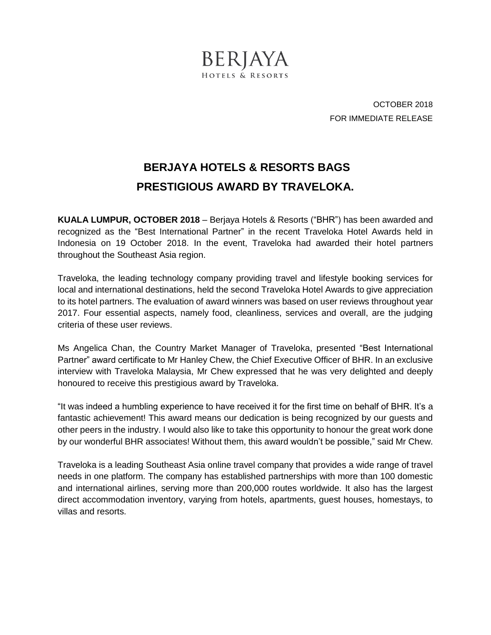

OCTOBER 2018 FOR IMMEDIATE RELEASE

## **BERJAYA HOTELS & RESORTS BAGS PRESTIGIOUS AWARD BY TRAVELOKA.**

**KUALA LUMPUR, OCTOBER 2018** – Berjaya Hotels & Resorts ("BHR") has been awarded and recognized as the "Best International Partner" in the recent Traveloka Hotel Awards held in Indonesia on 19 October 2018. In the event, Traveloka had awarded their hotel partners throughout the Southeast Asia region.

Traveloka, the leading technology company providing travel and lifestyle booking services for local and international destinations, held the second Traveloka Hotel Awards to give appreciation to its hotel partners. The evaluation of award winners was based on user reviews throughout year 2017. Four essential aspects, namely food, cleanliness, services and overall, are the judging criteria of these user reviews.

Ms Angelica Chan, the Country Market Manager of Traveloka, presented "Best International Partner" award certificate to Mr Hanley Chew, the Chief Executive Officer of BHR. In an exclusive interview with Traveloka Malaysia, Mr Chew expressed that he was very delighted and deeply honoured to receive this prestigious award by Traveloka.

"It was indeed a humbling experience to have received it for the first time on behalf of BHR. It's a fantastic achievement! This award means our dedication is being recognized by our guests and other peers in the industry. I would also like to take this opportunity to honour the great work done by our wonderful BHR associates! Without them, this award wouldn't be possible," said Mr Chew.

Traveloka is a leading Southeast Asia online travel company that provides a wide range of travel needs in one platform. The company has established partnerships with more than 100 domestic and international airlines, serving more than 200,000 routes worldwide. It also has the largest direct accommodation inventory, varying from hotels, apartments, guest houses, homestays, to villas and resorts.